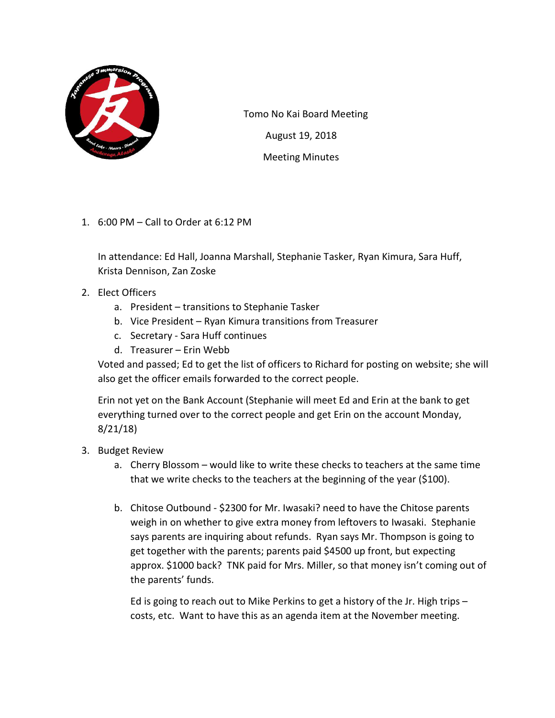

 Tomo No Kai Board Meeting August 19, 2018 Meeting Minutes

1. 6:00 PM – Call to Order at 6:12 PM

In attendance: Ed Hall, Joanna Marshall, Stephanie Tasker, Ryan Kimura, Sara Huff, Krista Dennison, Zan Zoske

- 2. Elect Officers
	- a. President transitions to Stephanie Tasker
	- b. Vice President Ryan Kimura transitions from Treasurer
	- c. Secretary Sara Huff continues
	- d. Treasurer Erin Webb

Voted and passed; Ed to get the list of officers to Richard for posting on website; she will also get the officer emails forwarded to the correct people.

Erin not yet on the Bank Account (Stephanie will meet Ed and Erin at the bank to get everything turned over to the correct people and get Erin on the account Monday, 8/21/18)

- 3. Budget Review
	- a. Cherry Blossom would like to write these checks to teachers at the same time that we write checks to the teachers at the beginning of the year (\$100).
	- b. Chitose Outbound \$2300 for Mr. Iwasaki? need to have the Chitose parents weigh in on whether to give extra money from leftovers to Iwasaki. Stephanie says parents are inquiring about refunds. Ryan says Mr. Thompson is going to get together with the parents; parents paid \$4500 up front, but expecting approx. \$1000 back? TNK paid for Mrs. Miller, so that money isn't coming out of the parents' funds.

Ed is going to reach out to Mike Perkins to get a history of the Jr. High trips – costs, etc. Want to have this as an agenda item at the November meeting.